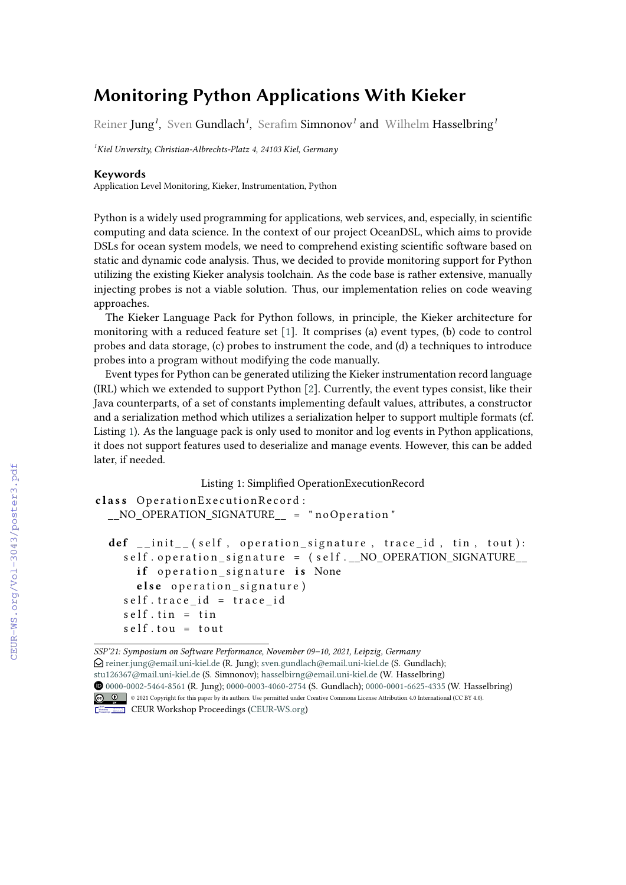## **Monitoring Python Applications With Kieker**

Reiner Jung*<sup>1</sup>* , Sven Gundlach*<sup>1</sup>* , Serafim Simnonov*<sup>1</sup>* and Wilhelm Hasselbring*<sup>1</sup>*

*<sup>1</sup>Kiel Unversity, Christian-Albrechts-Platz 4, 24103 Kiel, Germany*

## **Keywords**

Application Level Monitoring, Kieker, Instrumentation, Python

Python is a widely used programming for applications, web services, and, especially, in scientific computing and data science. In the context of our project OceanDSL, which aims to provide DSLs for ocean system models, we need to comprehend existing scientific software based on static and dynamic code analysis. Thus, we decided to provide monitoring support for Python utilizing the existing Kieker analysis toolchain. As the code base is rather extensive, manually injecting probes is not a viable solution. Thus, our implementation relies on code weaving approaches.

The Kieker Language Pack for Python follows, in principle, the Kieker architecture for monitoring with a reduced feature set [\[1\]](#page--1-0). It comprises (a) event types, (b) code to control probes and data storage, (c) probes to instrument the code, and (d) a techniques to introduce probes into a program without modifying the code manually.

Event types for Python can be generated utilizing the Kieker instrumentation record language (IRL) which we extended to support Python [\[2\]](#page--1-1). Currently, the event types consist, like their Java counterparts, of a set of constants implementing default values, attributes, a constructor and a serialization method which utilizes a serialization helper to support multiple formats (cf. Listing [1\)](#page-0-0). As the language pack is only used to monitor and log events in Python applications, it does not support features used to deserialize and manage events. However, this can be added later, if needed.

Listing 1: Simplified OperationExecutionRecord

```
class OperationExecutionRecord:
__NO_OPERATION_SIGNATURE__ = " noOperation "
 def __init__(self, operation_signature, trace_id, tin, tout):
   self. operation signature = (self. No OPERATION SIGNATURE
     if operation signature is None
     else operation signature)
   self. trace id = trace idself. tin = tin
   self.tou = tout
```
*SSP'21: Symposium on Software Performance, November 09–10, 2021, Leipzig, Germany*  $\bigcirc$  [reiner.jung@email.uni-kiel.de](mailto:reiner.jung@email.uni-kiel.de) (R. Jung); [sven.gundlach@email.uni-kiel.de](mailto:sven.gundlach@email.uni-kiel.de) (S. Gundlach); [stu126367@mail.uni-kiel.de](mailto:stu126367@mail.uni-kiel.de) (S. Simnonov); [hasselbirng@email.uni-kiel.de](mailto:hasselbirng@email.uni-kiel.de) (W. Hasselbring) [0000-0002-5464-8561](https://orcid.org/0000-0002-5464-8561) (R. Jung); [0000-0003-4060-2754](https://orcid.org/0000-0003-4060-2754) (S. Gundlach); [0000-0001-6625-4335](https://orcid.org/0000-0001-6625-4335) (W. Hasselbring) © 2021 Copyright for this paper by its authors. Use permitted under Creative Commons License Attribution 4.0 International (CC BY 4.0).



CEUR Workshop [Proceedings](http://ceur-ws.org) [\(CEUR-WS.org\)](http://ceur-ws.org)